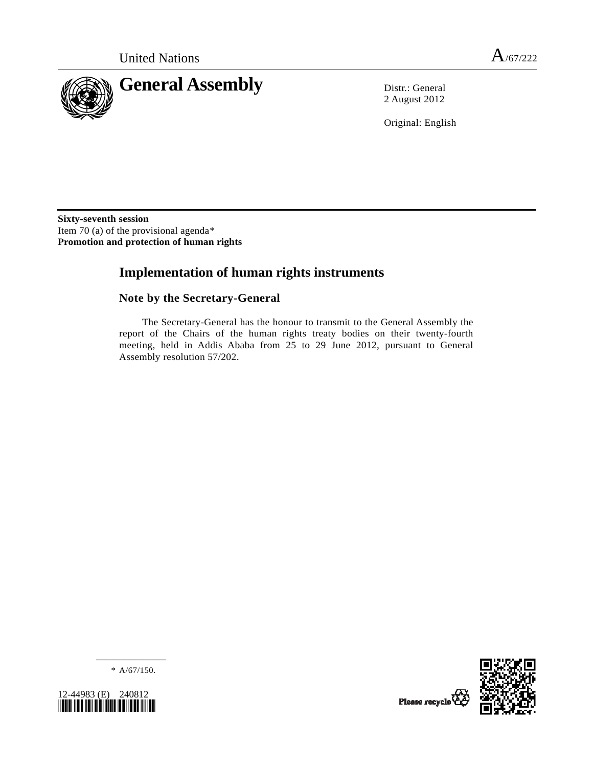

2 August 2012

Original: English

**Sixty-seventh session**  Item 70 (a) of the provisional agenda[\\*](#page-0-0) **Promotion and protection of human rights** 

# **Implementation of human rights instruments**

## **Note by the Secretary-General**

 The Secretary-General has the honour to transmit to the General Assembly the report of the Chairs of the human rights treaty bodies on their twenty-fourth meeting, held in Addis Ababa from 25 to 29 June 2012, pursuant to General Assembly resolution 57/202.

Please recycle



**\_\_\_\_\_\_\_\_\_\_\_\_\_\_\_\_\_\_**  \* A/67/150.

<span id="page-0-0"></span>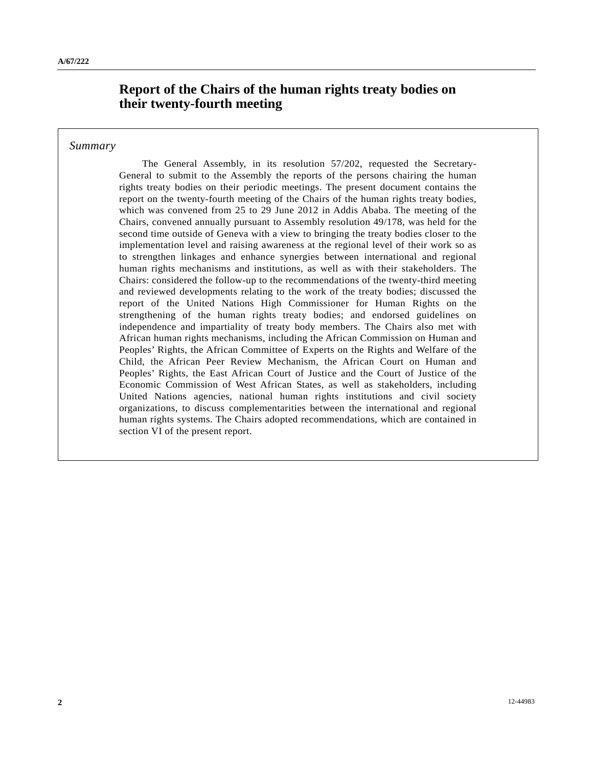# **Report of the Chairs of the human rights treaty bodies on their twenty-fourth meeting**

### *Summary*

 The General Assembly, in its resolution 57/202, requested the Secretary-General to submit to the Assembly the reports of the persons chairing the human rights treaty bodies on their periodic meetings. The present document contains the report on the twenty-fourth meeting of the Chairs of the human rights treaty bodies, which was convened from 25 to 29 June 2012 in Addis Ababa. The meeting of the Chairs, convened annually pursuant to Assembly resolution 49/178, was held for the second time outside of Geneva with a view to bringing the treaty bodies closer to the implementation level and raising awareness at the regional level of their work so as to strengthen linkages and enhance synergies between international and regional human rights mechanisms and institutions, as well as with their stakeholders. The Chairs: considered the follow-up to the recommendations of the twenty-third meeting and reviewed developments relating to the work of the treaty bodies; discussed the report of the United Nations High Commissioner for Human Rights on the strengthening of the human rights treaty bodies; and endorsed guidelines on independence and impartiality of treaty body members. The Chairs also met with African human rights mechanisms, including the African Commission on Human and Peoples' Rights, the African Committee of Experts on the Rights and Welfare of the Child, the African Peer Review Mechanism, the African Court on Human and Peoples' Rights, the East African Court of Justice and the Court of Justice of the Economic Commission of West African States, as well as stakeholders, including United Nations agencies, national human rights institutions and civil society organizations, to discuss complementarities between the international and regional human rights systems. The Chairs adopted recommendations, which are contained in section VI of the present report.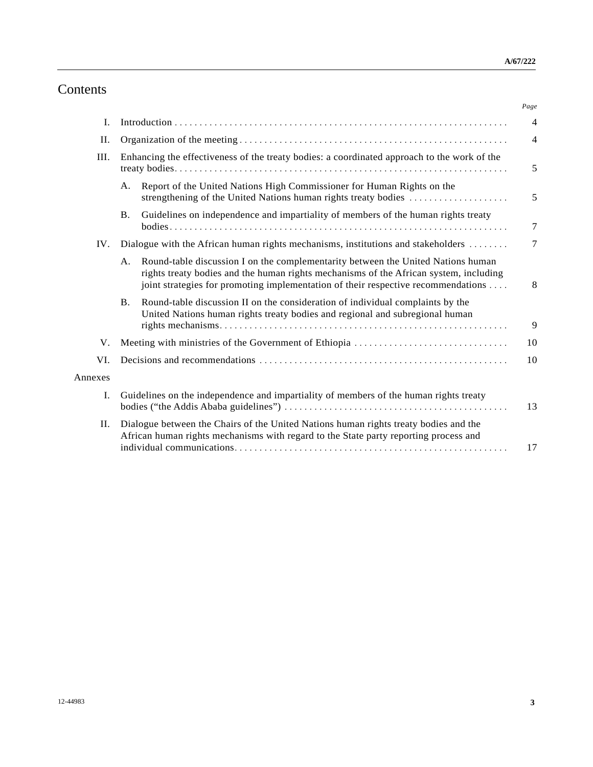# Contents

|         |                                                                                                                                                                                                                                                                      | Page             |
|---------|----------------------------------------------------------------------------------------------------------------------------------------------------------------------------------------------------------------------------------------------------------------------|------------------|
| I.      |                                                                                                                                                                                                                                                                      | $\overline{4}$   |
| Η.      |                                                                                                                                                                                                                                                                      | $\overline{4}$   |
| III.    | Enhancing the effectiveness of the treaty bodies: a coordinated approach to the work of the                                                                                                                                                                          | 5                |
|         | Report of the United Nations High Commissioner for Human Rights on the<br>А.<br>strengthening of the United Nations human rights treaty bodies                                                                                                                       | 5                |
|         | Guidelines on independence and impartiality of members of the human rights treaty<br><b>B.</b>                                                                                                                                                                       | $\boldsymbol{7}$ |
| IV.     | Dialogue with the African human rights mechanisms, institutions and stakeholders                                                                                                                                                                                     | 7                |
|         | Round-table discussion I on the complementarity between the United Nations human<br>A.<br>rights treaty bodies and the human rights mechanisms of the African system, including<br>joint strategies for promoting implementation of their respective recommendations | 8                |
|         | Round-table discussion II on the consideration of individual complaints by the<br><b>B.</b><br>United Nations human rights treaty bodies and regional and subregional human                                                                                          | 9                |
| V.      | Meeting with ministries of the Government of Ethiopia                                                                                                                                                                                                                | 10               |
| VI.     |                                                                                                                                                                                                                                                                      | 10               |
| Annexes |                                                                                                                                                                                                                                                                      |                  |
| I.      | Guidelines on the independence and impartiality of members of the human rights treaty                                                                                                                                                                                | 13               |
| П.      | Dialogue between the Chairs of the United Nations human rights treaty bodies and the<br>African human rights mechanisms with regard to the State party reporting process and                                                                                         | 17               |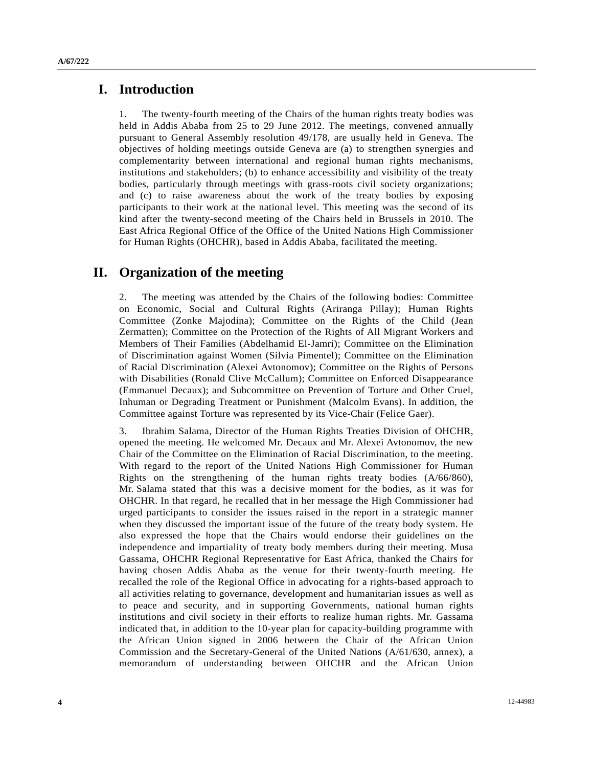## **I. Introduction**

1. The twenty-fourth meeting of the Chairs of the human rights treaty bodies was held in Addis Ababa from 25 to 29 June 2012. The meetings, convened annually pursuant to General Assembly resolution 49/178, are usually held in Geneva. The objectives of holding meetings outside Geneva are (a) to strengthen synergies and complementarity between international and regional human rights mechanisms, institutions and stakeholders; (b) to enhance accessibility and visibility of the treaty bodies, particularly through meetings with grass-roots civil society organizations; and (c) to raise awareness about the work of the treaty bodies by exposing participants to their work at the national level. This meeting was the second of its kind after the twenty-second meeting of the Chairs held in Brussels in 2010. The East Africa Regional Office of the Office of the United Nations High Commissioner for Human Rights (OHCHR), based in Addis Ababa, facilitated the meeting.

## **II. Organization of the meeting**

2. The meeting was attended by the Chairs of the following bodies: Committee on Economic, Social and Cultural Rights (Ariranga Pillay); Human Rights Committee (Zonke Majodina); Committee on the Rights of the Child (Jean Zermatten); Committee on the Protection of the Rights of All Migrant Workers and Members of Their Families (Abdelhamid El-Jamri); Committee on the Elimination of Discrimination against Women (Silvia Pimentel); Committee on the Elimination of Racial Discrimination (Alexei Avtonomov); Committee on the Rights of Persons with Disabilities (Ronald Clive McCallum); Committee on Enforced Disappearance (Emmanuel Decaux); and Subcommittee on Prevention of Torture and Other Cruel, Inhuman or Degrading Treatment or Punishment (Malcolm Evans). In addition, the Committee against Torture was represented by its Vice-Chair (Felice Gaer).

3. Ibrahim Salama, Director of the Human Rights Treaties Division of OHCHR, opened the meeting. He welcomed Mr. Decaux and Mr. Alexei Avtonomov, the new Chair of the Committee on the Elimination of Racial Discrimination, to the meeting. With regard to the report of the United Nations High Commissioner for Human Rights on the strengthening of the human rights treaty bodies (A/66/860), Mr. Salama stated that this was a decisive moment for the bodies, as it was for OHCHR. In that regard, he recalled that in her message the High Commissioner had urged participants to consider the issues raised in the report in a strategic manner when they discussed the important issue of the future of the treaty body system. He also expressed the hope that the Chairs would endorse their guidelines on the independence and impartiality of treaty body members during their meeting. Musa Gassama, OHCHR Regional Representative for East Africa, thanked the Chairs for having chosen Addis Ababa as the venue for their twenty-fourth meeting. He recalled the role of the Regional Office in advocating for a rights-based approach to all activities relating to governance, development and humanitarian issues as well as to peace and security, and in supporting Governments, national human rights institutions and civil society in their efforts to realize human rights. Mr. Gassama indicated that, in addition to the 10-year plan for capacity-building programme with the African Union signed in 2006 between the Chair of the African Union Commission and the Secretary-General of the United Nations (A/61/630, annex), a memorandum of understanding between OHCHR and the African Union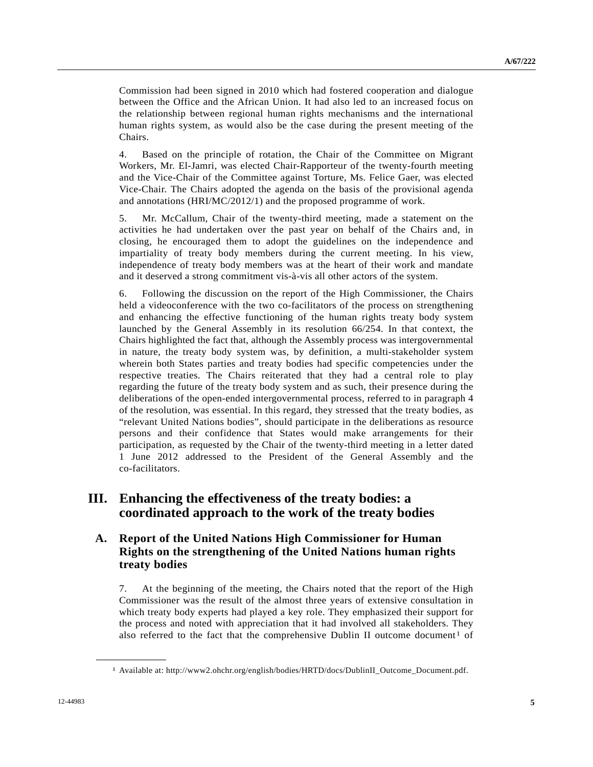Commission had been signed in 2010 which had fostered cooperation and dialogue between the Office and the African Union. It had also led to an increased focus on the relationship between regional human rights mechanisms and the international human rights system, as would also be the case during the present meeting of the Chairs.

4. Based on the principle of rotation, the Chair of the Committee on Migrant Workers, Mr. El-Jamri, was elected Chair-Rapporteur of the twenty-fourth meeting and the Vice-Chair of the Committee against Torture, Ms. Felice Gaer, was elected Vice-Chair. The Chairs adopted the agenda on the basis of the provisional agenda and annotations (HRI/MC/2012/1) and the proposed programme of work.

5. Mr. McCallum, Chair of the twenty-third meeting, made a statement on the activities he had undertaken over the past year on behalf of the Chairs and, in closing, he encouraged them to adopt the guidelines on the independence and impartiality of treaty body members during the current meeting. In his view, independence of treaty body members was at the heart of their work and mandate and it deserved a strong commitment vis-à-vis all other actors of the system.

6. Following the discussion on the report of the High Commissioner, the Chairs held a videoconference with the two co-facilitators of the process on strengthening and enhancing the effective functioning of the human rights treaty body system launched by the General Assembly in its resolution 66/254. In that context, the Chairs highlighted the fact that, although the Assembly process was intergovernmental in nature, the treaty body system was, by definition, a multi-stakeholder system wherein both States parties and treaty bodies had specific competencies under the respective treaties. The Chairs reiterated that they had a central role to play regarding the future of the treaty body system and as such, their presence during the deliberations of the open-ended intergovernmental process, referred to in paragraph 4 of the resolution, was essential. In this regard, they stressed that the treaty bodies, as "relevant United Nations bodies", should participate in the deliberations as resource persons and their confidence that States would make arrangements for their participation, as requested by the Chair of the twenty-third meeting in a letter dated 1 June 2012 addressed to the President of the General Assembly and the co-facilitators.

# **III. Enhancing the effectiveness of the treaty bodies: a coordinated approach to the work of the treaty bodies**

## **A. Report of the United Nations High Commissioner for Human Rights on the strengthening of the United Nations human rights treaty bodies**

7. At the beginning of the meeting, the Chairs noted that the report of the High Commissioner was the result of the almost three years of extensive consultation in which treaty body experts had played a key role. They emphasized their support for the process and noted with appreciation that it had involved all stakeholders. They also referred to the fact that the comprehensive Dublin II outcome document<sup>[1](#page-4-0)</sup> of

<span id="page-4-0"></span>**\_\_\_\_\_\_\_\_\_\_\_\_\_\_\_\_\_\_** 

<sup>1</sup> Available at: http://www2.ohchr.org/english/bodies/HRTD/docs/DublinII\_Outcome\_Document.pdf.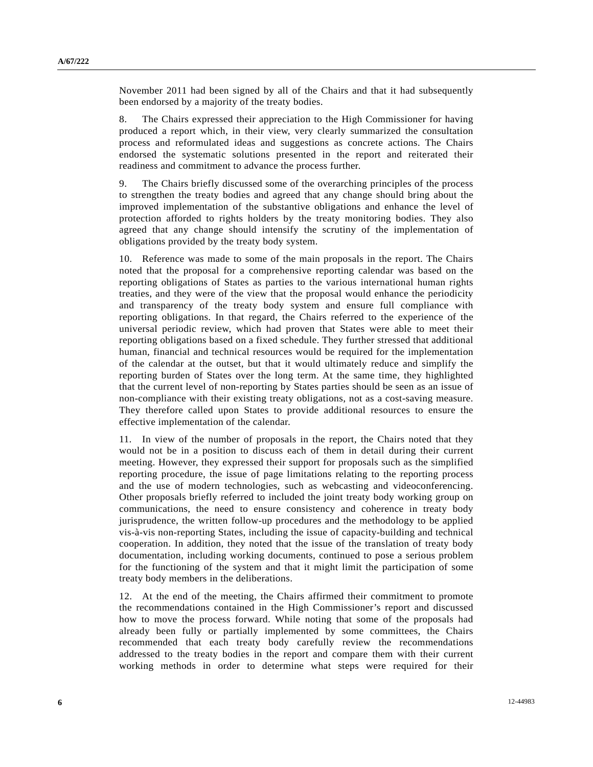November 2011 had been signed by all of the Chairs and that it had subsequently been endorsed by a majority of the treaty bodies.

8. The Chairs expressed their appreciation to the High Commissioner for having produced a report which, in their view, very clearly summarized the consultation process and reformulated ideas and suggestions as concrete actions. The Chairs endorsed the systematic solutions presented in the report and reiterated their readiness and commitment to advance the process further.

9. The Chairs briefly discussed some of the overarching principles of the process to strengthen the treaty bodies and agreed that any change should bring about the improved implementation of the substantive obligations and enhance the level of protection afforded to rights holders by the treaty monitoring bodies. They also agreed that any change should intensify the scrutiny of the implementation of obligations provided by the treaty body system.

10. Reference was made to some of the main proposals in the report. The Chairs noted that the proposal for a comprehensive reporting calendar was based on the reporting obligations of States as parties to the various international human rights treaties, and they were of the view that the proposal would enhance the periodicity and transparency of the treaty body system and ensure full compliance with reporting obligations. In that regard, the Chairs referred to the experience of the universal periodic review, which had proven that States were able to meet their reporting obligations based on a fixed schedule. They further stressed that additional human, financial and technical resources would be required for the implementation of the calendar at the outset, but that it would ultimately reduce and simplify the reporting burden of States over the long term. At the same time, they highlighted that the current level of non-reporting by States parties should be seen as an issue of non-compliance with their existing treaty obligations, not as a cost-saving measure. They therefore called upon States to provide additional resources to ensure the effective implementation of the calendar.

11. In view of the number of proposals in the report, the Chairs noted that they would not be in a position to discuss each of them in detail during their current meeting. However, they expressed their support for proposals such as the simplified reporting procedure, the issue of page limitations relating to the reporting process and the use of modern technologies, such as webcasting and videoconferencing. Other proposals briefly referred to included the joint treaty body working group on communications, the need to ensure consistency and coherence in treaty body jurisprudence, the written follow-up procedures and the methodology to be applied vis-à-vis non-reporting States, including the issue of capacity-building and technical cooperation. In addition, they noted that the issue of the translation of treaty body documentation, including working documents, continued to pose a serious problem for the functioning of the system and that it might limit the participation of some treaty body members in the deliberations.

12. At the end of the meeting, the Chairs affirmed their commitment to promote the recommendations contained in the High Commissioner's report and discussed how to move the process forward. While noting that some of the proposals had already been fully or partially implemented by some committees, the Chairs recommended that each treaty body carefully review the recommendations addressed to the treaty bodies in the report and compare them with their current working methods in order to determine what steps were required for their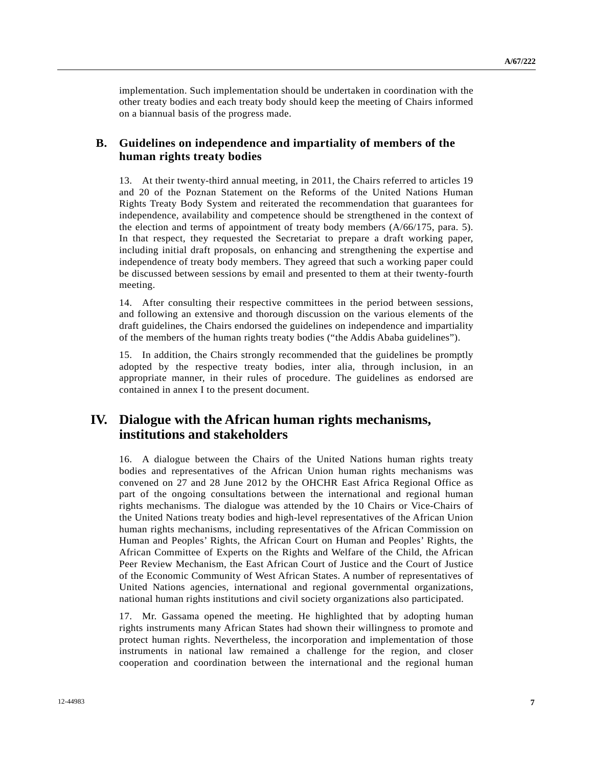implementation. Such implementation should be undertaken in coordination with the other treaty bodies and each treaty body should keep the meeting of Chairs informed on a biannual basis of the progress made.

### **B. Guidelines on independence and impartiality of members of the human rights treaty bodies**

13. At their twenty-third annual meeting, in 2011, the Chairs referred to articles 19 and 20 of the Poznan Statement on the Reforms of the United Nations Human Rights Treaty Body System and reiterated the recommendation that guarantees for independence, availability and competence should be strengthened in the context of the election and terms of appointment of treaty body members (A/66/175, para. 5). In that respect, they requested the Secretariat to prepare a draft working paper, including initial draft proposals, on enhancing and strengthening the expertise and independence of treaty body members. They agreed that such a working paper could be discussed between sessions by email and presented to them at their twenty-fourth meeting.

14. After consulting their respective committees in the period between sessions, and following an extensive and thorough discussion on the various elements of the draft guidelines, the Chairs endorsed the guidelines on independence and impartiality of the members of the human rights treaty bodies ("the Addis Ababa guidelines").

15. In addition, the Chairs strongly recommended that the guidelines be promptly adopted by the respective treaty bodies, inter alia, through inclusion, in an appropriate manner, in their rules of procedure. The guidelines as endorsed are contained in annex I to the present document.

# **IV. Dialogue with the African human rights mechanisms, institutions and stakeholders**

16. A dialogue between the Chairs of the United Nations human rights treaty bodies and representatives of the African Union human rights mechanisms was convened on 27 and 28 June 2012 by the OHCHR East Africa Regional Office as part of the ongoing consultations between the international and regional human rights mechanisms. The dialogue was attended by the 10 Chairs or Vice-Chairs of the United Nations treaty bodies and high-level representatives of the African Union human rights mechanisms, including representatives of the African Commission on Human and Peoples' Rights, the African Court on Human and Peoples' Rights, the African Committee of Experts on the Rights and Welfare of the Child, the African Peer Review Mechanism, the East African Court of Justice and the Court of Justice of the Economic Community of West African States. A number of representatives of United Nations agencies, international and regional governmental organizations, national human rights institutions and civil society organizations also participated.

17. Mr. Gassama opened the meeting. He highlighted that by adopting human rights instruments many African States had shown their willingness to promote and protect human rights. Nevertheless, the incorporation and implementation of those instruments in national law remained a challenge for the region, and closer cooperation and coordination between the international and the regional human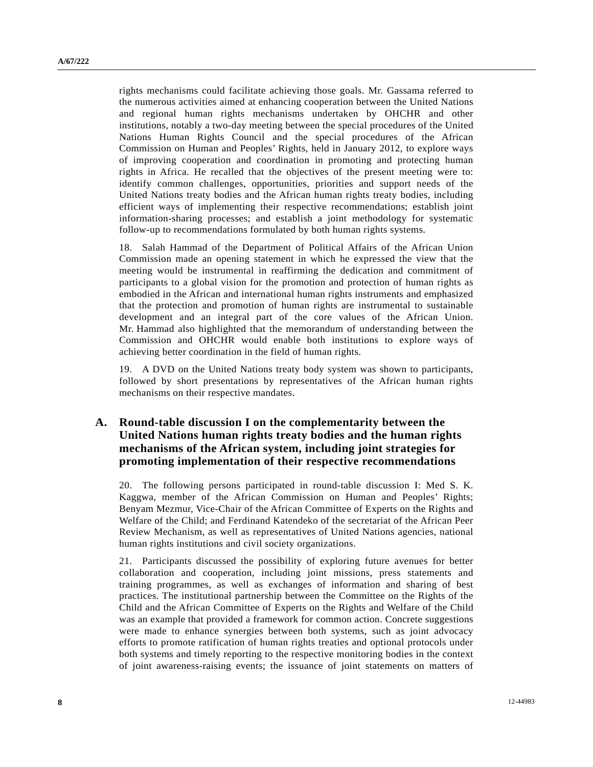rights mechanisms could facilitate achieving those goals. Mr. Gassama referred to the numerous activities aimed at enhancing cooperation between the United Nations and regional human rights mechanisms undertaken by OHCHR and other institutions, notably a two-day meeting between the special procedures of the United Nations Human Rights Council and the special procedures of the African Commission on Human and Peoples' Rights, held in January 2012, to explore ways of improving cooperation and coordination in promoting and protecting human rights in Africa. He recalled that the objectives of the present meeting were to: identify common challenges, opportunities, priorities and support needs of the United Nations treaty bodies and the African human rights treaty bodies, including efficient ways of implementing their respective recommendations; establish joint information-sharing processes; and establish a joint methodology for systematic follow-up to recommendations formulated by both human rights systems.

18. Salah Hammad of the Department of Political Affairs of the African Union Commission made an opening statement in which he expressed the view that the meeting would be instrumental in reaffirming the dedication and commitment of participants to a global vision for the promotion and protection of human rights as embodied in the African and international human rights instruments and emphasized that the protection and promotion of human rights are instrumental to sustainable development and an integral part of the core values of the African Union. Mr. Hammad also highlighted that the memorandum of understanding between the Commission and OHCHR would enable both institutions to explore ways of achieving better coordination in the field of human rights.

19. A DVD on the United Nations treaty body system was shown to participants, followed by short presentations by representatives of the African human rights mechanisms on their respective mandates.

### **A. Round-table discussion I on the complementarity between the United Nations human rights treaty bodies and the human rights mechanisms of the African system, including joint strategies for promoting implementation of their respective recommendations**

20. The following persons participated in round-table discussion I: Med S. K. Kaggwa, member of the African Commission on Human and Peoples' Rights; Benyam Mezmur, Vice-Chair of the African Committee of Experts on the Rights and Welfare of the Child; and Ferdinand Katendeko of the secretariat of the African Peer Review Mechanism, as well as representatives of United Nations agencies, national human rights institutions and civil society organizations.

21. Participants discussed the possibility of exploring future avenues for better collaboration and cooperation, including joint missions, press statements and training programmes, as well as exchanges of information and sharing of best practices. The institutional partnership between the Committee on the Rights of the Child and the African Committee of Experts on the Rights and Welfare of the Child was an example that provided a framework for common action. Concrete suggestions were made to enhance synergies between both systems, such as joint advocacy efforts to promote ratification of human rights treaties and optional protocols under both systems and timely reporting to the respective monitoring bodies in the context of joint awareness-raising events; the issuance of joint statements on matters of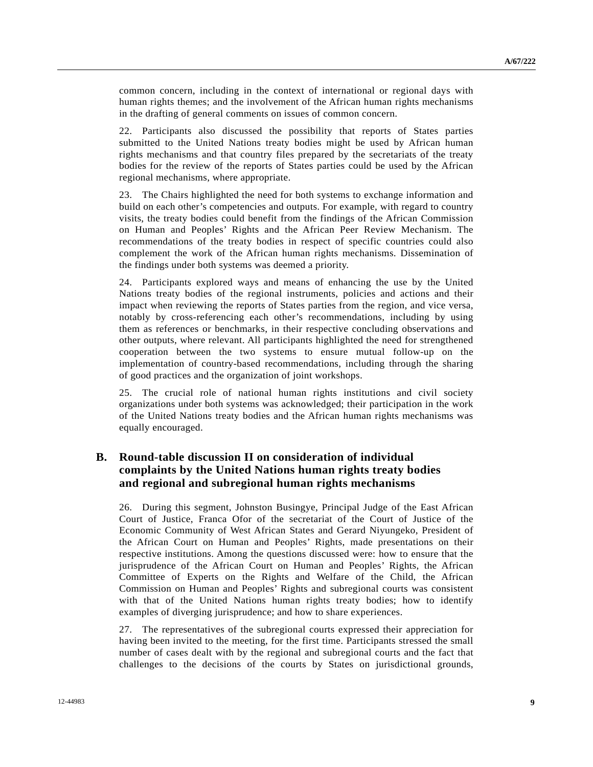common concern, including in the context of international or regional days with human rights themes; and the involvement of the African human rights mechanisms in the drafting of general comments on issues of common concern.

22. Participants also discussed the possibility that reports of States parties submitted to the United Nations treaty bodies might be used by African human rights mechanisms and that country files prepared by the secretariats of the treaty bodies for the review of the reports of States parties could be used by the African regional mechanisms, where appropriate.

23. The Chairs highlighted the need for both systems to exchange information and build on each other's competencies and outputs. For example, with regard to country visits, the treaty bodies could benefit from the findings of the African Commission on Human and Peoples' Rights and the African Peer Review Mechanism. The recommendations of the treaty bodies in respect of specific countries could also complement the work of the African human rights mechanisms. Dissemination of the findings under both systems was deemed a priority.

24. Participants explored ways and means of enhancing the use by the United Nations treaty bodies of the regional instruments, policies and actions and their impact when reviewing the reports of States parties from the region, and vice versa, notably by cross-referencing each other's recommendations, including by using them as references or benchmarks, in their respective concluding observations and other outputs, where relevant. All participants highlighted the need for strengthened cooperation between the two systems to ensure mutual follow-up on the implementation of country-based recommendations, including through the sharing of good practices and the organization of joint workshops.

25. The crucial role of national human rights institutions and civil society organizations under both systems was acknowledged; their participation in the work of the United Nations treaty bodies and the African human rights mechanisms was equally encouraged.

## **B. Round-table discussion II on consideration of individual complaints by the United Nations human rights treaty bodies and regional and subregional human rights mechanisms**

26. During this segment, Johnston Busingye, Principal Judge of the East African Court of Justice, Franca Ofor of the secretariat of the Court of Justice of the Economic Community of West African States and Gerard Niyungeko, President of the African Court on Human and Peoples' Rights, made presentations on their respective institutions. Among the questions discussed were: how to ensure that the jurisprudence of the African Court on Human and Peoples' Rights, the African Committee of Experts on the Rights and Welfare of the Child, the African Commission on Human and Peoples' Rights and subregional courts was consistent with that of the United Nations human rights treaty bodies; how to identify examples of diverging jurisprudence; and how to share experiences.

27. The representatives of the subregional courts expressed their appreciation for having been invited to the meeting, for the first time. Participants stressed the small number of cases dealt with by the regional and subregional courts and the fact that challenges to the decisions of the courts by States on jurisdictional grounds,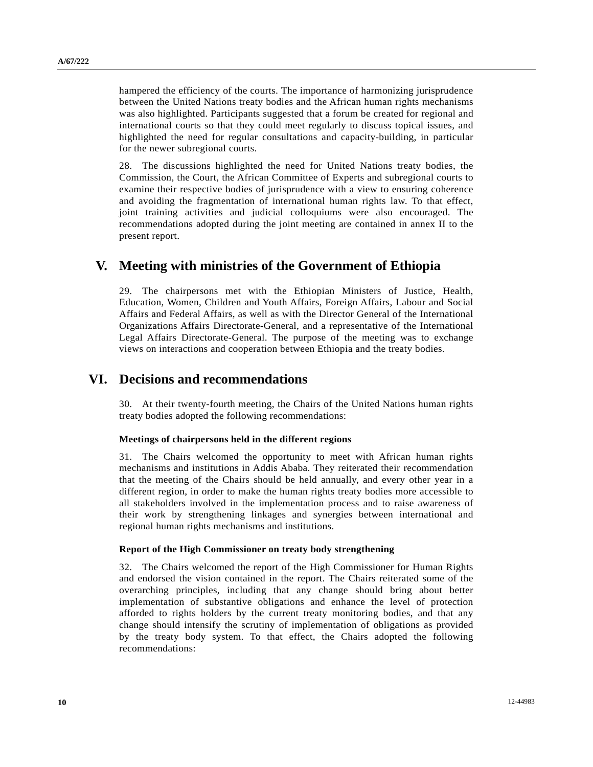hampered the efficiency of the courts. The importance of harmonizing jurisprudence between the United Nations treaty bodies and the African human rights mechanisms was also highlighted. Participants suggested that a forum be created for regional and international courts so that they could meet regularly to discuss topical issues, and highlighted the need for regular consultations and capacity-building, in particular for the newer subregional courts.

28. The discussions highlighted the need for United Nations treaty bodies, the Commission, the Court, the African Committee of Experts and subregional courts to examine their respective bodies of jurisprudence with a view to ensuring coherence and avoiding the fragmentation of international human rights law. To that effect, joint training activities and judicial colloquiums were also encouraged. The recommendations adopted during the joint meeting are contained in annex II to the present report.

# **V. Meeting with ministries of the Government of Ethiopia**

29. The chairpersons met with the Ethiopian Ministers of Justice, Health, Education, Women, Children and Youth Affairs, Foreign Affairs, Labour and Social Affairs and Federal Affairs, as well as with the Director General of the International Organizations Affairs Directorate-General, and a representative of the International Legal Affairs Directorate-General. The purpose of the meeting was to exchange views on interactions and cooperation between Ethiopia and the treaty bodies.

## **VI. Decisions and recommendations**

30. At their twenty-fourth meeting, the Chairs of the United Nations human rights treaty bodies adopted the following recommendations:

#### **Meetings of chairpersons held in the different regions**

31. The Chairs welcomed the opportunity to meet with African human rights mechanisms and institutions in Addis Ababa. They reiterated their recommendation that the meeting of the Chairs should be held annually, and every other year in a different region, in order to make the human rights treaty bodies more accessible to all stakeholders involved in the implementation process and to raise awareness of their work by strengthening linkages and synergies between international and regional human rights mechanisms and institutions.

#### **Report of the High Commissioner on treaty body strengthening**

32. The Chairs welcomed the report of the High Commissioner for Human Rights and endorsed the vision contained in the report. The Chairs reiterated some of the overarching principles, including that any change should bring about better implementation of substantive obligations and enhance the level of protection afforded to rights holders by the current treaty monitoring bodies, and that any change should intensify the scrutiny of implementation of obligations as provided by the treaty body system. To that effect, the Chairs adopted the following recommendations: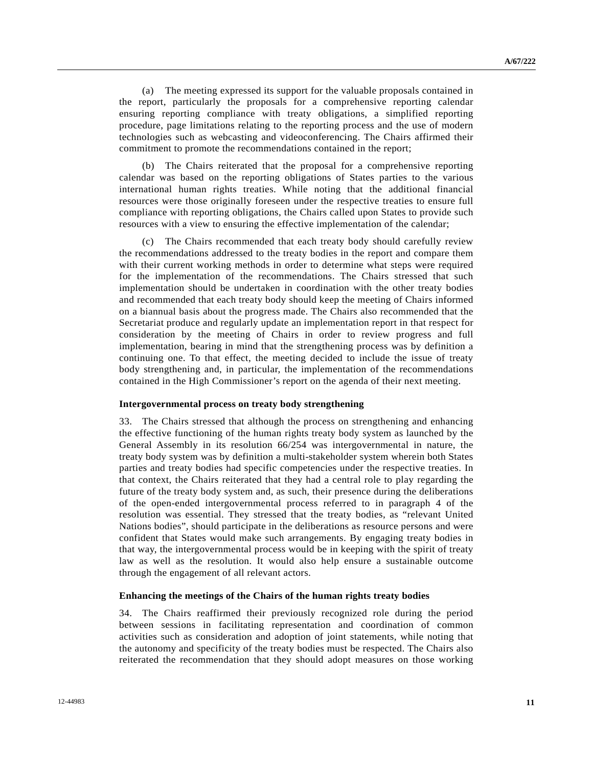(a) The meeting expressed its support for the valuable proposals contained in the report, particularly the proposals for a comprehensive reporting calendar ensuring reporting compliance with treaty obligations, a simplified reporting procedure, page limitations relating to the reporting process and the use of modern technologies such as webcasting and videoconferencing. The Chairs affirmed their commitment to promote the recommendations contained in the report;

 (b) The Chairs reiterated that the proposal for a comprehensive reporting calendar was based on the reporting obligations of States parties to the various international human rights treaties. While noting that the additional financial resources were those originally foreseen under the respective treaties to ensure full compliance with reporting obligations, the Chairs called upon States to provide such resources with a view to ensuring the effective implementation of the calendar;

 (c) The Chairs recommended that each treaty body should carefully review the recommendations addressed to the treaty bodies in the report and compare them with their current working methods in order to determine what steps were required for the implementation of the recommendations. The Chairs stressed that such implementation should be undertaken in coordination with the other treaty bodies and recommended that each treaty body should keep the meeting of Chairs informed on a biannual basis about the progress made. The Chairs also recommended that the Secretariat produce and regularly update an implementation report in that respect for consideration by the meeting of Chairs in order to review progress and full implementation, bearing in mind that the strengthening process was by definition a continuing one. To that effect, the meeting decided to include the issue of treaty body strengthening and, in particular, the implementation of the recommendations contained in the High Commissioner's report on the agenda of their next meeting.

#### **Intergovernmental process on treaty body strengthening**

33. The Chairs stressed that although the process on strengthening and enhancing the effective functioning of the human rights treaty body system as launched by the General Assembly in its resolution 66/254 was intergovernmental in nature, the treaty body system was by definition a multi-stakeholder system wherein both States parties and treaty bodies had specific competencies under the respective treaties. In that context, the Chairs reiterated that they had a central role to play regarding the future of the treaty body system and, as such, their presence during the deliberations of the open-ended intergovernmental process referred to in paragraph 4 of the resolution was essential. They stressed that the treaty bodies, as "relevant United Nations bodies", should participate in the deliberations as resource persons and were confident that States would make such arrangements. By engaging treaty bodies in that way, the intergovernmental process would be in keeping with the spirit of treaty law as well as the resolution. It would also help ensure a sustainable outcome through the engagement of all relevant actors.

#### **Enhancing the meetings of the Chairs of the human rights treaty bodies**

34. The Chairs reaffirmed their previously recognized role during the period between sessions in facilitating representation and coordination of common activities such as consideration and adoption of joint statements, while noting that the autonomy and specificity of the treaty bodies must be respected. The Chairs also reiterated the recommendation that they should adopt measures on those working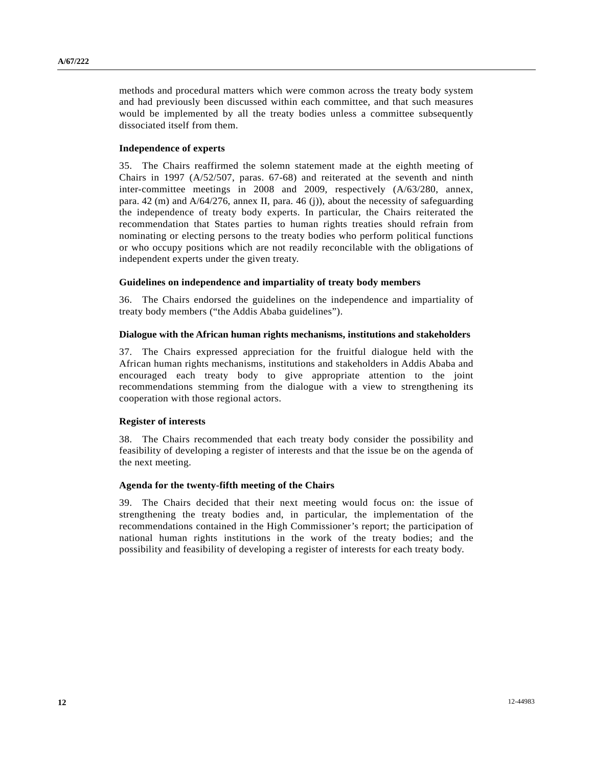methods and procedural matters which were common across the treaty body system and had previously been discussed within each committee, and that such measures would be implemented by all the treaty bodies unless a committee subsequently dissociated itself from them.

### **Independence of experts**

35. The Chairs reaffirmed the solemn statement made at the eighth meeting of Chairs in 1997 (A/52/507, paras. 67-68) and reiterated at the seventh and ninth inter-committee meetings in 2008 and 2009, respectively (A/63/280, annex, para. 42 (m) and A/64/276, annex II, para. 46 (j)), about the necessity of safeguarding the independence of treaty body experts. In particular, the Chairs reiterated the recommendation that States parties to human rights treaties should refrain from nominating or electing persons to the treaty bodies who perform political functions or who occupy positions which are not readily reconcilable with the obligations of independent experts under the given treaty.

### **Guidelines on independence and impartiality of treaty body members**

36. The Chairs endorsed the guidelines on the independence and impartiality of treaty body members ("the Addis Ababa guidelines").

### **Dialogue with the African human rights mechanisms, institutions and stakeholders**

37. The Chairs expressed appreciation for the fruitful dialogue held with the African human rights mechanisms, institutions and stakeholders in Addis Ababa and encouraged each treaty body to give appropriate attention to the joint recommendations stemming from the dialogue with a view to strengthening its cooperation with those regional actors.

### **Register of interests**

38. The Chairs recommended that each treaty body consider the possibility and feasibility of developing a register of interests and that the issue be on the agenda of the next meeting.

### **Agenda for the twenty-fifth meeting of the Chairs**

39. The Chairs decided that their next meeting would focus on: the issue of strengthening the treaty bodies and, in particular, the implementation of the recommendations contained in the High Commissioner's report; the participation of national human rights institutions in the work of the treaty bodies; and the possibility and feasibility of developing a register of interests for each treaty body.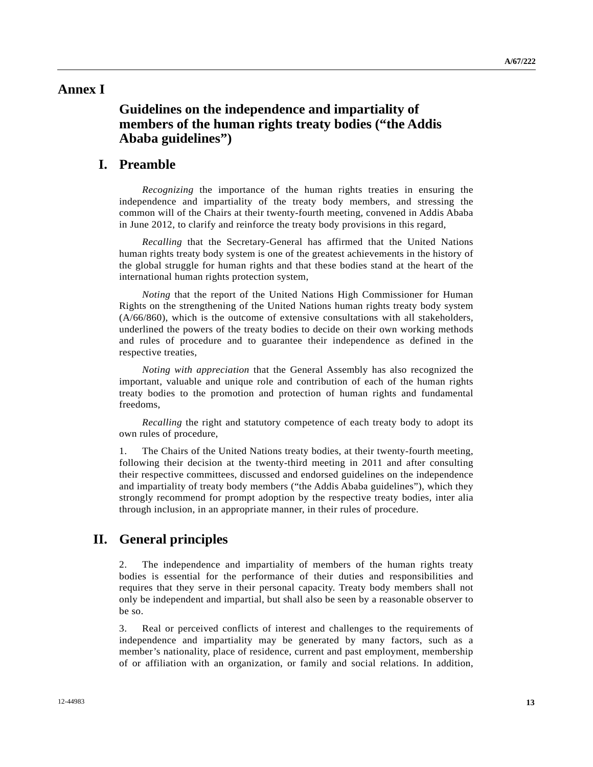## **Annex I**

# **Guidelines on the independence and impartiality of members of the human rights treaty bodies ("the Addis Ababa guidelines")**

## **I. Preamble**

*Recognizing* the importance of the human rights treaties in ensuring the independence and impartiality of the treaty body members, and stressing the common will of the Chairs at their twenty-fourth meeting, convened in Addis Ababa in June 2012, to clarify and reinforce the treaty body provisions in this regard,

*Recalling* that the Secretary-General has affirmed that the United Nations human rights treaty body system is one of the greatest achievements in the history of the global struggle for human rights and that these bodies stand at the heart of the international human rights protection system,

*Noting* that the report of the United Nations High Commissioner for Human Rights on the strengthening of the United Nations human rights treaty body system (A/66/860), which is the outcome of extensive consultations with all stakeholders, underlined the powers of the treaty bodies to decide on their own working methods and rules of procedure and to guarantee their independence as defined in the respective treaties,

*Noting with appreciation* that the General Assembly has also recognized the important, valuable and unique role and contribution of each of the human rights treaty bodies to the promotion and protection of human rights and fundamental freedoms,

*Recalling* the right and statutory competence of each treaty body to adopt its own rules of procedure,

1. The Chairs of the United Nations treaty bodies, at their twenty-fourth meeting, following their decision at the twenty-third meeting in 2011 and after consulting their respective committees, discussed and endorsed guidelines on the independence and impartiality of treaty body members ("the Addis Ababa guidelines"), which they strongly recommend for prompt adoption by the respective treaty bodies, inter alia through inclusion, in an appropriate manner, in their rules of procedure.

# **II. General principles**

2. The independence and impartiality of members of the human rights treaty bodies is essential for the performance of their duties and responsibilities and requires that they serve in their personal capacity. Treaty body members shall not only be independent and impartial, but shall also be seen by a reasonable observer to be so.

3. Real or perceived conflicts of interest and challenges to the requirements of independence and impartiality may be generated by many factors, such as a member's nationality, place of residence, current and past employment, membership of or affiliation with an organization, or family and social relations. In addition,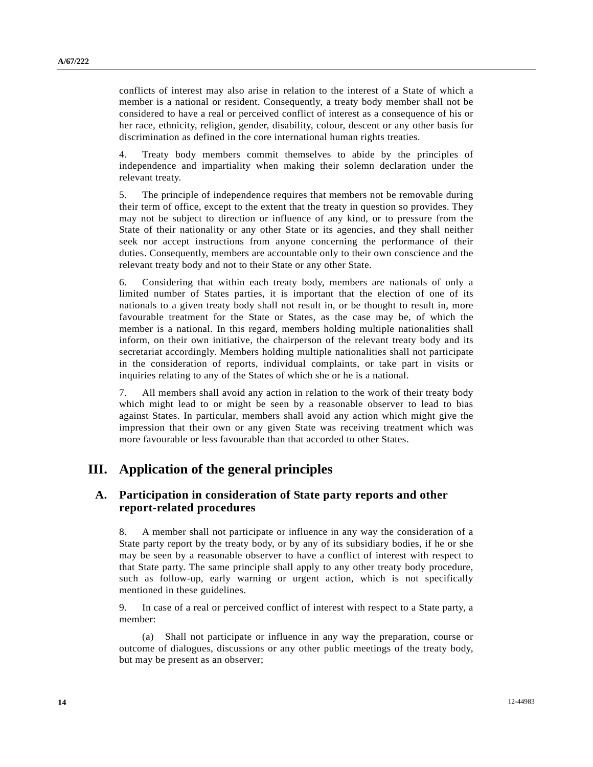conflicts of interest may also arise in relation to the interest of a State of which a member is a national or resident. Consequently, a treaty body member shall not be considered to have a real or perceived conflict of interest as a consequence of his or her race, ethnicity, religion, gender, disability, colour, descent or any other basis for discrimination as defined in the core international human rights treaties.

4. Treaty body members commit themselves to abide by the principles of independence and impartiality when making their solemn declaration under the relevant treaty.

5. The principle of independence requires that members not be removable during their term of office, except to the extent that the treaty in question so provides. They may not be subject to direction or influence of any kind, or to pressure from the State of their nationality or any other State or its agencies, and they shall neither seek nor accept instructions from anyone concerning the performance of their duties. Consequently, members are accountable only to their own conscience and the relevant treaty body and not to their State or any other State.

6. Considering that within each treaty body, members are nationals of only a limited number of States parties, it is important that the election of one of its nationals to a given treaty body shall not result in, or be thought to result in, more favourable treatment for the State or States, as the case may be, of which the member is a national. In this regard, members holding multiple nationalities shall inform, on their own initiative, the chairperson of the relevant treaty body and its secretariat accordingly. Members holding multiple nationalities shall not participate in the consideration of reports, individual complaints, or take part in visits or inquiries relating to any of the States of which she or he is a national.

7. All members shall avoid any action in relation to the work of their treaty body which might lead to or might be seen by a reasonable observer to lead to bias against States. In particular, members shall avoid any action which might give the impression that their own or any given State was receiving treatment which was more favourable or less favourable than that accorded to other States.

# **III. Application of the general principles**

### **A. Participation in consideration of State party reports and other report-related procedures**

8. A member shall not participate or influence in any way the consideration of a State party report by the treaty body, or by any of its subsidiary bodies, if he or she may be seen by a reasonable observer to have a conflict of interest with respect to that State party. The same principle shall apply to any other treaty body procedure, such as follow-up, early warning or urgent action, which is not specifically mentioned in these guidelines.

9. In case of a real or perceived conflict of interest with respect to a State party, a member:

 (a) Shall not participate or influence in any way the preparation, course or outcome of dialogues, discussions or any other public meetings of the treaty body, but may be present as an observer;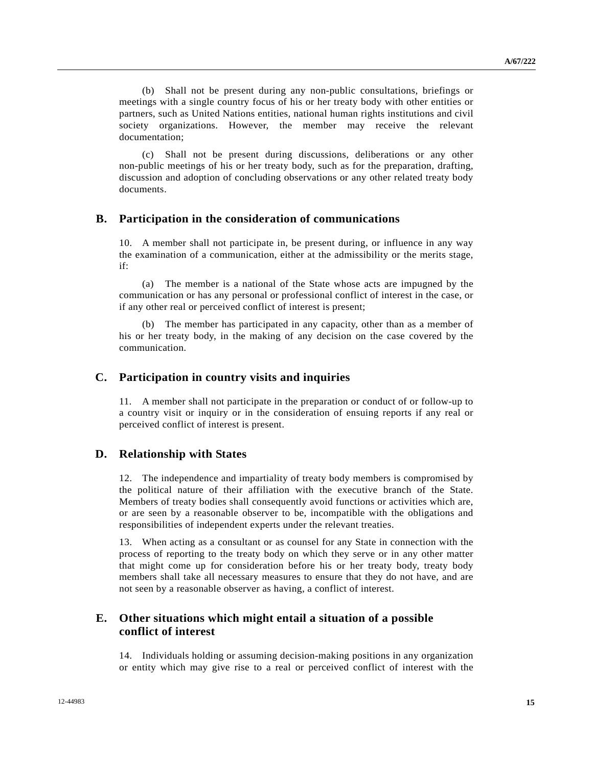(b) Shall not be present during any non-public consultations, briefings or meetings with a single country focus of his or her treaty body with other entities or partners, such as United Nations entities, national human rights institutions and civil society organizations. However, the member may receive the relevant documentation;

 (c) Shall not be present during discussions, deliberations or any other non-public meetings of his or her treaty body, such as for the preparation, drafting, discussion and adoption of concluding observations or any other related treaty body documents.

### **B. Participation in the consideration of communications**

10. A member shall not participate in, be present during, or influence in any way the examination of a communication, either at the admissibility or the merits stage, if:

 (a) The member is a national of the State whose acts are impugned by the communication or has any personal or professional conflict of interest in the case, or if any other real or perceived conflict of interest is present;

 (b) The member has participated in any capacity, other than as a member of his or her treaty body, in the making of any decision on the case covered by the communication.

### **C. Participation in country visits and inquiries**

11. A member shall not participate in the preparation or conduct of or follow-up to a country visit or inquiry or in the consideration of ensuing reports if any real or perceived conflict of interest is present.

### **D. Relationship with States**

12. The independence and impartiality of treaty body members is compromised by the political nature of their affiliation with the executive branch of the State. Members of treaty bodies shall consequently avoid functions or activities which are, or are seen by a reasonable observer to be, incompatible with the obligations and responsibilities of independent experts under the relevant treaties.

13. When acting as a consultant or as counsel for any State in connection with the process of reporting to the treaty body on which they serve or in any other matter that might come up for consideration before his or her treaty body, treaty body members shall take all necessary measures to ensure that they do not have, and are not seen by a reasonable observer as having, a conflict of interest.

### **E. Other situations which might entail a situation of a possible conflict of interest**

14. Individuals holding or assuming decision-making positions in any organization or entity which may give rise to a real or perceived conflict of interest with the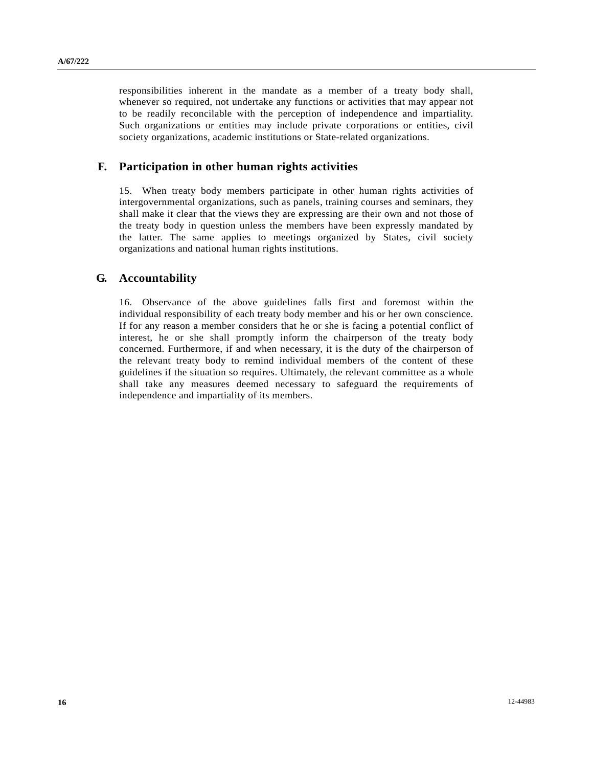responsibilities inherent in the mandate as a member of a treaty body shall, whenever so required, not undertake any functions or activities that may appear not to be readily reconcilable with the perception of independence and impartiality. Such organizations or entities may include private corporations or entities, civil society organizations, academic institutions or State-related organizations.

### **F. Participation in other human rights activities**

15. When treaty body members participate in other human rights activities of intergovernmental organizations, such as panels, training courses and seminars, they shall make it clear that the views they are expressing are their own and not those of the treaty body in question unless the members have been expressly mandated by the latter. The same applies to meetings organized by States, civil society organizations and national human rights institutions.

### **G. Accountability**

16. Observance of the above guidelines falls first and foremost within the individual responsibility of each treaty body member and his or her own conscience. If for any reason a member considers that he or she is facing a potential conflict of interest, he or she shall promptly inform the chairperson of the treaty body concerned. Furthermore, if and when necessary, it is the duty of the chairperson of the relevant treaty body to remind individual members of the content of these guidelines if the situation so requires. Ultimately, the relevant committee as a whole shall take any measures deemed necessary to safeguard the requirements of independence and impartiality of its members.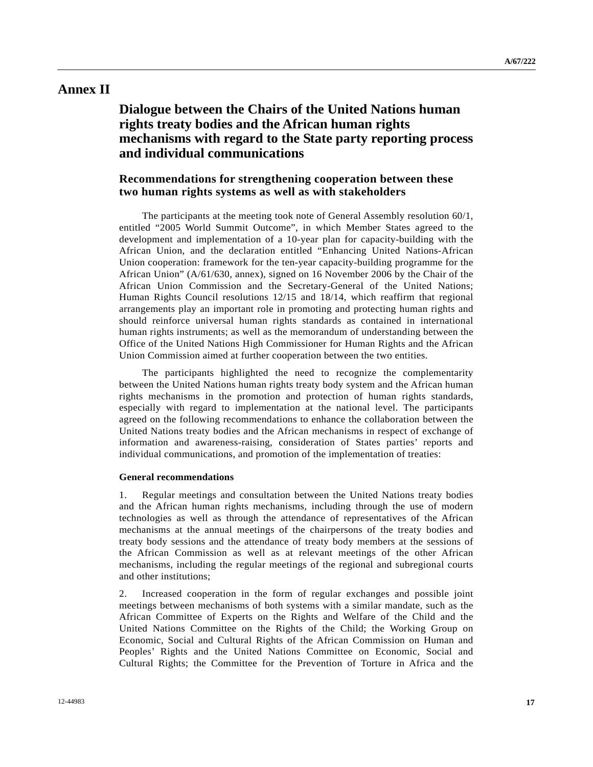## **Annex II**

# **Dialogue between the Chairs of the United Nations human rights treaty bodies and the African human rights mechanisms with regard to the State party reporting process and individual communications**

### **Recommendations for strengthening cooperation between these two human rights systems as well as with stakeholders**

 The participants at the meeting took note of General Assembly resolution 60/1, entitled "2005 World Summit Outcome", in which Member States agreed to the development and implementation of a 10-year plan for capacity-building with the African Union, and the declaration entitled "Enhancing United Nations-African Union cooperation: framework for the ten-year capacity-building programme for the African Union" (A/61/630, annex), signed on 16 November 2006 by the Chair of the African Union Commission and the Secretary-General of the United Nations; Human Rights Council resolutions 12/15 and 18/14, which reaffirm that regional arrangements play an important role in promoting and protecting human rights and should reinforce universal human rights standards as contained in international human rights instruments; as well as the memorandum of understanding between the Office of the United Nations High Commissioner for Human Rights and the African Union Commission aimed at further cooperation between the two entities.

 The participants highlighted the need to recognize the complementarity between the United Nations human rights treaty body system and the African human rights mechanisms in the promotion and protection of human rights standards, especially with regard to implementation at the national level. The participants agreed on the following recommendations to enhance the collaboration between the United Nations treaty bodies and the African mechanisms in respect of exchange of information and awareness-raising, consideration of States parties' reports and individual communications, and promotion of the implementation of treaties:

#### **General recommendations**

1. Regular meetings and consultation between the United Nations treaty bodies and the African human rights mechanisms, including through the use of modern technologies as well as through the attendance of representatives of the African mechanisms at the annual meetings of the chairpersons of the treaty bodies and treaty body sessions and the attendance of treaty body members at the sessions of the African Commission as well as at relevant meetings of the other African mechanisms, including the regular meetings of the regional and subregional courts and other institutions;

2. Increased cooperation in the form of regular exchanges and possible joint meetings between mechanisms of both systems with a similar mandate, such as the African Committee of Experts on the Rights and Welfare of the Child and the United Nations Committee on the Rights of the Child; the Working Group on Economic, Social and Cultural Rights of the African Commission on Human and Peoples' Rights and the United Nations Committee on Economic, Social and Cultural Rights; the Committee for the Prevention of Torture in Africa and the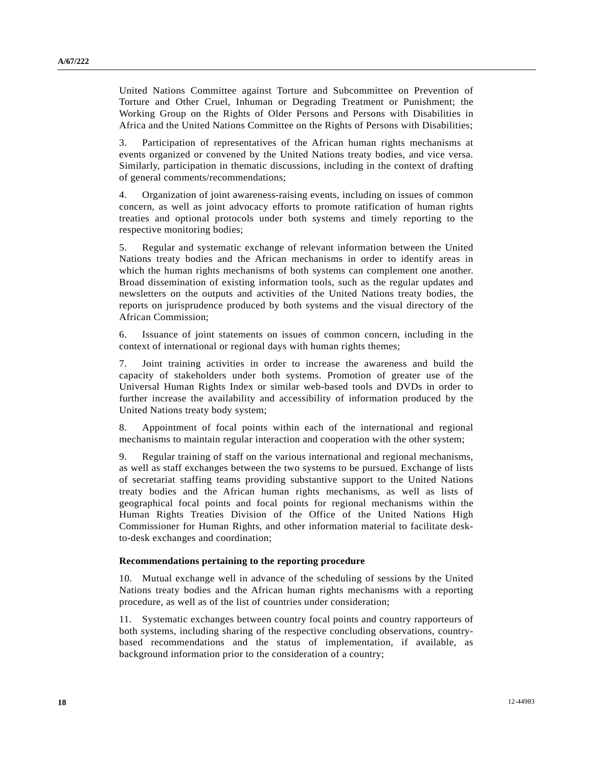United Nations Committee against Torture and Subcommittee on Prevention of Torture and Other Cruel, Inhuman or Degrading Treatment or Punishment; the Working Group on the Rights of Older Persons and Persons with Disabilities in Africa and the United Nations Committee on the Rights of Persons with Disabilities;

3. Participation of representatives of the African human rights mechanisms at events organized or convened by the United Nations treaty bodies, and vice versa. Similarly, participation in thematic discussions, including in the context of drafting of general comments/recommendations;

4. Organization of joint awareness-raising events, including on issues of common concern, as well as joint advocacy efforts to promote ratification of human rights treaties and optional protocols under both systems and timely reporting to the respective monitoring bodies;

5. Regular and systematic exchange of relevant information between the United Nations treaty bodies and the African mechanisms in order to identify areas in which the human rights mechanisms of both systems can complement one another. Broad dissemination of existing information tools, such as the regular updates and newsletters on the outputs and activities of the United Nations treaty bodies, the reports on jurisprudence produced by both systems and the visual directory of the African Commission;

6. Issuance of joint statements on issues of common concern, including in the context of international or regional days with human rights themes;

7. Joint training activities in order to increase the awareness and build the capacity of stakeholders under both systems. Promotion of greater use of the Universal Human Rights Index or similar web-based tools and DVDs in order to further increase the availability and accessibility of information produced by the United Nations treaty body system;

8. Appointment of focal points within each of the international and regional mechanisms to maintain regular interaction and cooperation with the other system;

9. Regular training of staff on the various international and regional mechanisms, as well as staff exchanges between the two systems to be pursued. Exchange of lists of secretariat staffing teams providing substantive support to the United Nations treaty bodies and the African human rights mechanisms, as well as lists of geographical focal points and focal points for regional mechanisms within the Human Rights Treaties Division of the Office of the United Nations High Commissioner for Human Rights, and other information material to facilitate deskto-desk exchanges and coordination;

#### **Recommendations pertaining to the reporting procedure**

10. Mutual exchange well in advance of the scheduling of sessions by the United Nations treaty bodies and the African human rights mechanisms with a reporting procedure, as well as of the list of countries under consideration;

11. Systematic exchanges between country focal points and country rapporteurs of both systems, including sharing of the respective concluding observations, countrybased recommendations and the status of implementation, if available, as background information prior to the consideration of a country;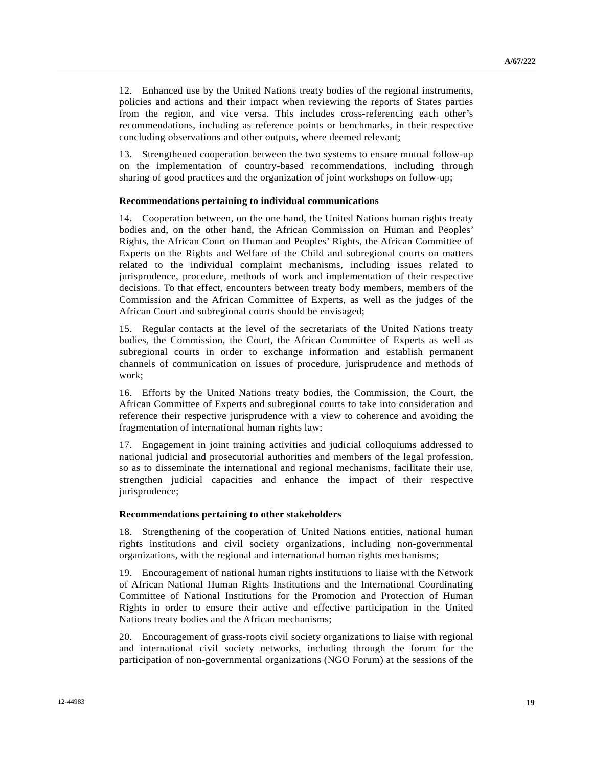12. Enhanced use by the United Nations treaty bodies of the regional instruments, policies and actions and their impact when reviewing the reports of States parties from the region, and vice versa. This includes cross-referencing each other's recommendations, including as reference points or benchmarks, in their respective concluding observations and other outputs, where deemed relevant;

13. Strengthened cooperation between the two systems to ensure mutual follow-up on the implementation of country-based recommendations, including through sharing of good practices and the organization of joint workshops on follow-up;

#### **Recommendations pertaining to individual communications**

14. Cooperation between, on the one hand, the United Nations human rights treaty bodies and, on the other hand, the African Commission on Human and Peoples' Rights, the African Court on Human and Peoples' Rights, the African Committee of Experts on the Rights and Welfare of the Child and subregional courts on matters related to the individual complaint mechanisms, including issues related to jurisprudence, procedure, methods of work and implementation of their respective decisions. To that effect, encounters between treaty body members, members of the Commission and the African Committee of Experts, as well as the judges of the African Court and subregional courts should be envisaged;

15. Regular contacts at the level of the secretariats of the United Nations treaty bodies, the Commission, the Court, the African Committee of Experts as well as subregional courts in order to exchange information and establish permanent channels of communication on issues of procedure, jurisprudence and methods of work;

16. Efforts by the United Nations treaty bodies, the Commission, the Court, the African Committee of Experts and subregional courts to take into consideration and reference their respective jurisprudence with a view to coherence and avoiding the fragmentation of international human rights law;

17. Engagement in joint training activities and judicial colloquiums addressed to national judicial and prosecutorial authorities and members of the legal profession, so as to disseminate the international and regional mechanisms, facilitate their use, strengthen judicial capacities and enhance the impact of their respective jurisprudence;

### **Recommendations pertaining to other stakeholders**

18. Strengthening of the cooperation of United Nations entities, national human rights institutions and civil society organizations, including non-governmental organizations, with the regional and international human rights mechanisms;

19. Encouragement of national human rights institutions to liaise with the Network of African National Human Rights Institutions and the International Coordinating Committee of National Institutions for the Promotion and Protection of Human Rights in order to ensure their active and effective participation in the United Nations treaty bodies and the African mechanisms;

20. Encouragement of grass-roots civil society organizations to liaise with regional and international civil society networks, including through the forum for the participation of non-governmental organizations (NGO Forum) at the sessions of the